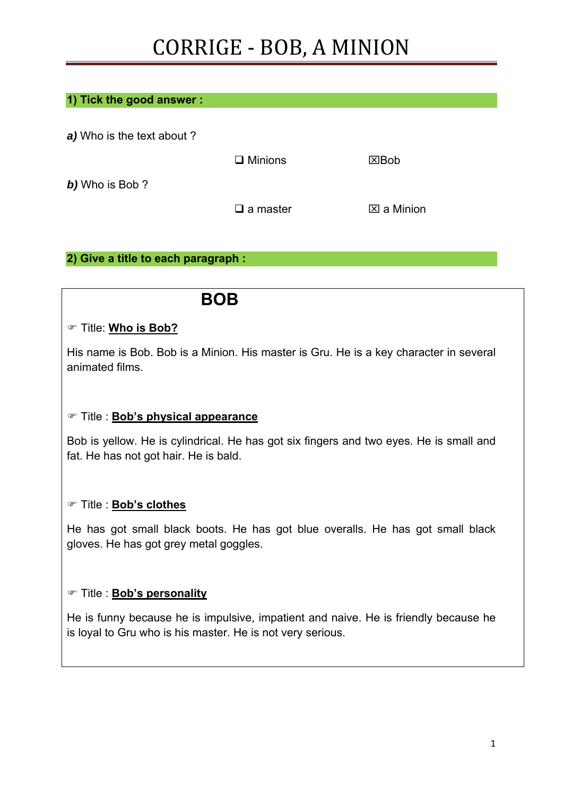| 1) Tick the good answer:   |                    |            |
|----------------------------|--------------------|------------|
| a) Who is the text about ? |                    |            |
|                            | $\Box$ Minions     | ⊠Bob       |
| b) Who is Bob?             |                    |            |
|                            | $\square$ a master | ⊠ a Minion |

**2) Give a title to each paragraph :** 

## **BOB**

#### Title: **Who is Bob?**

His name is Bob. Bob is a Minion. His master is Gru. He is a key character in several animated films.

### Title : **Bob's physical appearance**

Bob is yellow. He is cylindrical. He has got six fingers and two eyes. He is small and fat. He has not got hair. He is bald.

#### Title : **Bob's clothes**

He has got small black boots. He has got blue overalls. He has got small black gloves. He has got grey metal goggles.

#### Title : **Bob's personality**

He is funny because he is impulsive, impatient and naive. He is friendly because he is loyal to Gru who is his master. He is not very serious.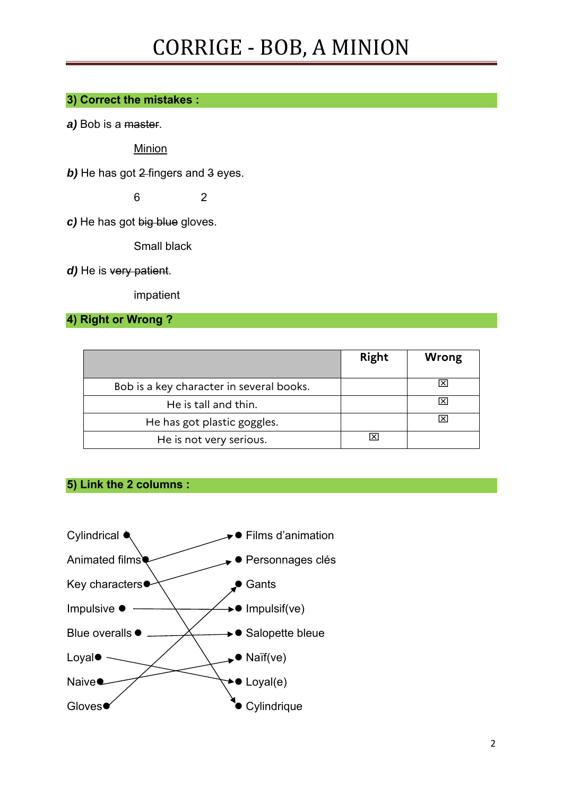### **3) Correct the mistakes :**

*a)* Bob is a master.

Minion

*b*) He has got 2-fingers and 3 eyes.

6 2

*c*) He has got big blue gloves.

Small black

d) He is very patient.

impatient

#### **4) Right or Wrong ?**

|                                          | Right | <b>Wrong</b> |
|------------------------------------------|-------|--------------|
| Bob is a key character in several books. |       | Ι×           |
| He is tall and thin.                     |       | Ι×           |
| He has got plastic goggles.              |       | ∣×           |
| He is not very serious.                  |       |              |

#### **5) Link the 2 columns :**

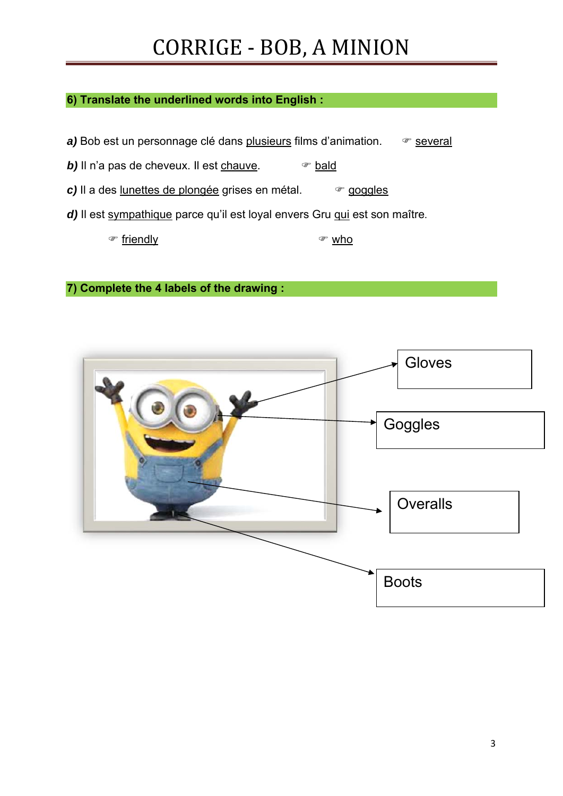### **6) Translate the underlined words into English :**

*a*) Bob est un personnage clé dans plusieurs films d'animation. 
several **b)** Il n'a pas de cheveux. Il est chauve.  $\bullet$  bald *c*) Il a des lunettes de plongée grises en métal.  $\qquad \qquad \circ$  goggles *d*) Il est sympathique parce qu'il est loyal envers Gru qui est son maître. **Findly Contract Contract Contract Contract Contract Contract Contract Contract Contract Contract Contract Contract Contract Contract Contract Contract Contract Contract Contract Contract Contract Contract Contract Contr** 

#### **7) Complete the 4 labels of the drawing :**